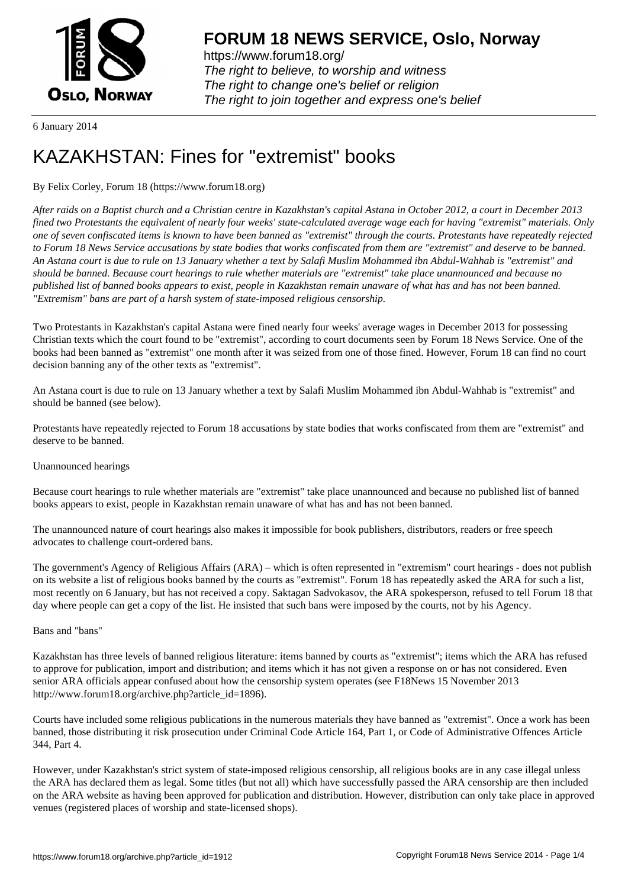

https://www.forum18.org/ The right to believe, to worship and witness The right to change one's belief or religion [The right to join together a](https://www.forum18.org/)nd express one's belief

6 January 2014

# [KAZAKHSTAN:](https://www.forum18.org) Fines for "extremist" books

# By Felix Corley, Forum 18 (https://www.forum18.org)

*After raids on a Baptist church and a Christian centre in Kazakhstan's capital Astana in October 2012, a court in December 2013 fined two Protestants the equivalent of nearly four weeks' state-calculated average wage each for having "extremist" materials. Only one of seven confiscated items is known to have been banned as "extremist" through the courts. Protestants have repeatedly rejected to Forum 18 News Service accusations by state bodies that works confiscated from them are "extremist" and deserve to be banned. An Astana court is due to rule on 13 January whether a text by Salafi Muslim Mohammed ibn Abdul-Wahhab is "extremist" and should be banned. Because court hearings to rule whether materials are "extremist" take place unannounced and because no published list of banned books appears to exist, people in Kazakhstan remain unaware of what has and has not been banned. "Extremism" bans are part of a harsh system of state-imposed religious censorship.*

Two Protestants in Kazakhstan's capital Astana were fined nearly four weeks' average wages in December 2013 for possessing Christian texts which the court found to be "extremist", according to court documents seen by Forum 18 News Service. One of the books had been banned as "extremist" one month after it was seized from one of those fined. However, Forum 18 can find no court decision banning any of the other texts as "extremist".

An Astana court is due to rule on 13 January whether a text by Salafi Muslim Mohammed ibn Abdul-Wahhab is "extremist" and should be banned (see below).

Protestants have repeatedly rejected to Forum 18 accusations by state bodies that works confiscated from them are "extremist" and deserve to be banned.

# Unannounced hearings

Because court hearings to rule whether materials are "extremist" take place unannounced and because no published list of banned books appears to exist, people in Kazakhstan remain unaware of what has and has not been banned.

The unannounced nature of court hearings also makes it impossible for book publishers, distributors, readers or free speech advocates to challenge court-ordered bans.

The government's Agency of Religious Affairs (ARA) – which is often represented in "extremism" court hearings - does not publish on its website a list of religious books banned by the courts as "extremist". Forum 18 has repeatedly asked the ARA for such a list, most recently on 6 January, but has not received a copy. Saktagan Sadvokasov, the ARA spokesperson, refused to tell Forum 18 that day where people can get a copy of the list. He insisted that such bans were imposed by the courts, not by his Agency.

#### Bans and "bans"

Kazakhstan has three levels of banned religious literature: items banned by courts as "extremist"; items which the ARA has refused to approve for publication, import and distribution; and items which it has not given a response on or has not considered. Even senior ARA officials appear confused about how the censorship system operates (see F18News 15 November 2013 http://www.forum18.org/archive.php?article\_id=1896).

Courts have included some religious publications in the numerous materials they have banned as "extremist". Once a work has been banned, those distributing it risk prosecution under Criminal Code Article 164, Part 1, or Code of Administrative Offences Article 344, Part 4.

However, under Kazakhstan's strict system of state-imposed religious censorship, all religious books are in any case illegal unless the ARA has declared them as legal. Some titles (but not all) which have successfully passed the ARA censorship are then included on the ARA website as having been approved for publication and distribution. However, distribution can only take place in approved venues (registered places of worship and state-licensed shops).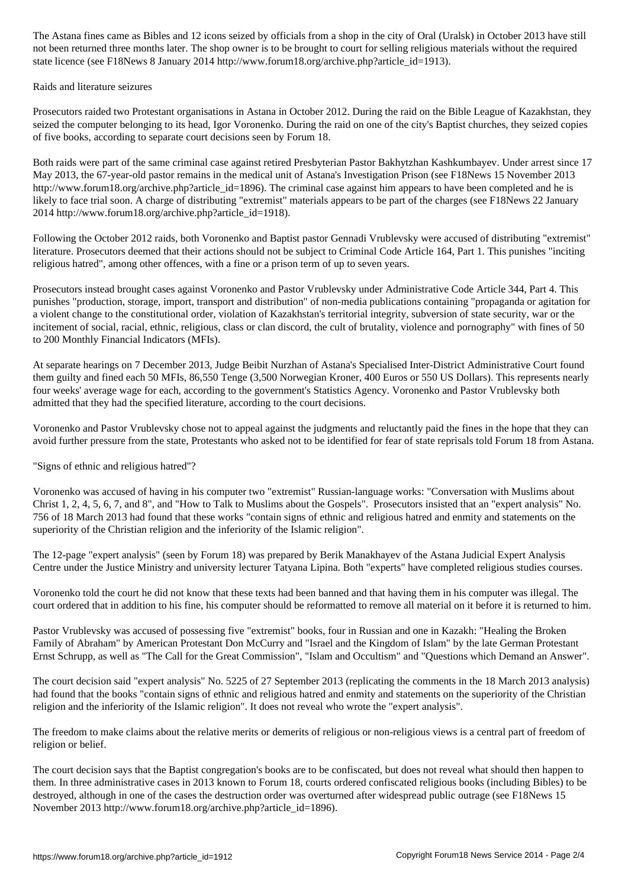not been returned three months later. The shop owner is to be brought to court for selling religious materials without the required state licence (see F18News 8 January 2014 http://www.forum18.org/archive.php?article\_id=1913).

#### Raids and literature seizures

Prosecutors raided two Protestant organisations in Astana in October 2012. During the raid on the Bible League of Kazakhstan, they seized the computer belonging to its head, Igor Voronenko. During the raid on one of the city's Baptist churches, they seized copies of five books, according to separate court decisions seen by Forum 18.

Both raids were part of the same criminal case against retired Presbyterian Pastor Bakhytzhan Kashkumbayev. Under arrest since 17 May 2013, the 67-year-old pastor remains in the medical unit of Astana's Investigation Prison (see F18News 15 November 2013 http://www.forum18.org/archive.php?article\_id=1896). The criminal case against him appears to have been completed and he is likely to face trial soon. A charge of distributing "extremist" materials appears to be part of the charges (see F18News 22 January 2014 http://www.forum18.org/archive.php?article\_id=1918).

Following the October 2012 raids, both Voronenko and Baptist pastor Gennadi Vrublevsky were accused of distributing "extremist" literature. Prosecutors deemed that their actions should not be subject to Criminal Code Article 164, Part 1. This punishes "inciting religious hatred", among other offences, with a fine or a prison term of up to seven years.

Prosecutors instead brought cases against Voronenko and Pastor Vrublevsky under Administrative Code Article 344, Part 4. This punishes "production, storage, import, transport and distribution" of non-media publications containing "propaganda or agitation for a violent change to the constitutional order, violation of Kazakhstan's territorial integrity, subversion of state security, war or the incitement of social, racial, ethnic, religious, class or clan discord, the cult of brutality, violence and pornography" with fines of 50 to 200 Monthly Financial Indicators (MFIs).

At separate hearings on 7 December 2013, Judge Beibit Nurzhan of Astana's Specialised Inter-District Administrative Court found them guilty and fined each 50 MFIs, 86,550 Tenge (3,500 Norwegian Kroner, 400 Euros or 550 US Dollars). This represents nearly four weeks' average wage for each, according to the government's Statistics Agency. Voronenko and Pastor Vrublevsky both admitted that they had the specified literature, according to the court decisions.

Voronenko and Pastor Vrublevsky chose not to appeal against the judgments and reluctantly paid the fines in the hope that they can avoid further pressure from the state, Protestants who asked not to be identified for fear of state reprisals told Forum 18 from Astana.

"Signs of ethnic and religious hatred"?

Voronenko was accused of having in his computer two "extremist" Russian-language works: "Conversation with Muslims about Christ 1, 2, 4, 5, 6, 7, and 8", and "How to Talk to Muslims about the Gospels". Prosecutors insisted that an "expert analysis" No. 756 of 18 March 2013 had found that these works "contain signs of ethnic and religious hatred and enmity and statements on the superiority of the Christian religion and the inferiority of the Islamic religion".

The 12-page "expert analysis" (seen by Forum 18) was prepared by Berik Manakhayev of the Astana Judicial Expert Analysis Centre under the Justice Ministry and university lecturer Tatyana Lipina. Both "experts" have completed religious studies courses.

Voronenko told the court he did not know that these texts had been banned and that having them in his computer was illegal. The court ordered that in addition to his fine, his computer should be reformatted to remove all material on it before it is returned to him.

Pastor Vrublevsky was accused of possessing five "extremist" books, four in Russian and one in Kazakh: "Healing the Broken Family of Abraham" by American Protestant Don McCurry and "Israel and the Kingdom of Islam" by the late German Protestant Ernst Schrupp, as well as "The Call for the Great Commission", "Islam and Occultism" and "Questions which Demand an Answer".

The court decision said "expert analysis" No. 5225 of 27 September 2013 (replicating the comments in the 18 March 2013 analysis) had found that the books "contain signs of ethnic and religious hatred and enmity and statements on the superiority of the Christian religion and the inferiority of the Islamic religion". It does not reveal who wrote the "expert analysis".

The freedom to make claims about the relative merits or demerits of religious or non-religious views is a central part of freedom of religion or belief.

The court decision says that the Baptist congregation's books are to be confiscated, but does not reveal what should then happen to them. In three administrative cases in 2013 known to Forum 18, courts ordered confiscated religious books (including Bibles) to be destroyed, although in one of the cases the destruction order was overturned after widespread public outrage (see F18News 15 November 2013 http://www.forum18.org/archive.php?article\_id=1896).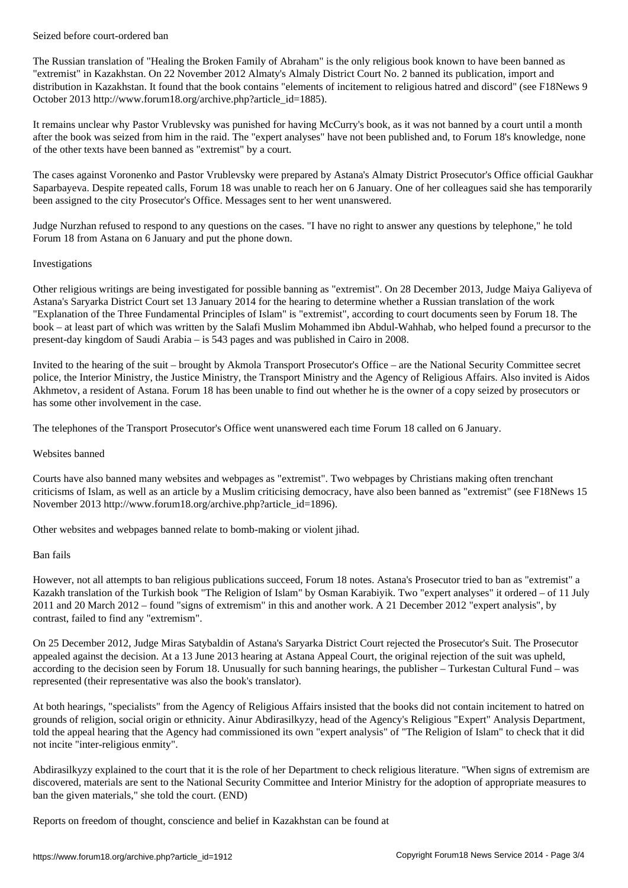The Russian translation of "Healing the Broken Family of Abraham" is the only religious book known to have been banned as "extremist" in Kazakhstan. On 22 November 2012 Almaty's Almaly District Court No. 2 banned its publication, import and distribution in Kazakhstan. It found that the book contains "elements of incitement to religious hatred and discord" (see F18News 9 October 2013 http://www.forum18.org/archive.php?article\_id=1885).

It remains unclear why Pastor Vrublevsky was punished for having McCurry's book, as it was not banned by a court until a month after the book was seized from him in the raid. The "expert analyses" have not been published and, to Forum 18's knowledge, none of the other texts have been banned as "extremist" by a court.

The cases against Voronenko and Pastor Vrublevsky were prepared by Astana's Almaty District Prosecutor's Office official Gaukhar Saparbayeva. Despite repeated calls, Forum 18 was unable to reach her on 6 January. One of her colleagues said she has temporarily been assigned to the city Prosecutor's Office. Messages sent to her went unanswered.

Judge Nurzhan refused to respond to any questions on the cases. "I have no right to answer any questions by telephone," he told Forum 18 from Astana on 6 January and put the phone down.

# Investigations

Other religious writings are being investigated for possible banning as "extremist". On 28 December 2013, Judge Maiya Galiyeva of Astana's Saryarka District Court set 13 January 2014 for the hearing to determine whether a Russian translation of the work "Explanation of the Three Fundamental Principles of Islam" is "extremist", according to court documents seen by Forum 18. The book – at least part of which was written by the Salafi Muslim Mohammed ibn Abdul-Wahhab, who helped found a precursor to the present-day kingdom of Saudi Arabia – is 543 pages and was published in Cairo in 2008.

Invited to the hearing of the suit – brought by Akmola Transport Prosecutor's Office – are the National Security Committee secret police, the Interior Ministry, the Justice Ministry, the Transport Ministry and the Agency of Religious Affairs. Also invited is Aidos Akhmetov, a resident of Astana. Forum 18 has been unable to find out whether he is the owner of a copy seized by prosecutors or has some other involvement in the case.

The telephones of the Transport Prosecutor's Office went unanswered each time Forum 18 called on 6 January.

#### Websites banned

Courts have also banned many websites and webpages as "extremist". Two webpages by Christians making often trenchant criticisms of Islam, as well as an article by a Muslim criticising democracy, have also been banned as "extremist" (see F18News 15 November 2013 http://www.forum18.org/archive.php?article\_id=1896).

Other websites and webpages banned relate to bomb-making or violent jihad.

# Ban fails

However, not all attempts to ban religious publications succeed, Forum 18 notes. Astana's Prosecutor tried to ban as "extremist" a Kazakh translation of the Turkish book "The Religion of Islam" by Osman Karabiyik. Two "expert analyses" it ordered – of 11 July 2011 and 20 March 2012 – found "signs of extremism" in this and another work. A 21 December 2012 "expert analysis", by contrast, failed to find any "extremism".

On 25 December 2012, Judge Miras Satybaldin of Astana's Saryarka District Court rejected the Prosecutor's Suit. The Prosecutor appealed against the decision. At a 13 June 2013 hearing at Astana Appeal Court, the original rejection of the suit was upheld, according to the decision seen by Forum 18. Unusually for such banning hearings, the publisher – Turkestan Cultural Fund – was represented (their representative was also the book's translator).

At both hearings, "specialists" from the Agency of Religious Affairs insisted that the books did not contain incitement to hatred on grounds of religion, social origin or ethnicity. Ainur Abdirasilkyzy, head of the Agency's Religious "Expert" Analysis Department, told the appeal hearing that the Agency had commissioned its own "expert analysis" of "The Religion of Islam" to check that it did not incite "inter-religious enmity".

Abdirasilkyzy explained to the court that it is the role of her Department to check religious literature. "When signs of extremism are discovered, materials are sent to the National Security Committee and Interior Ministry for the adoption of appropriate measures to ban the given materials," she told the court. (END)

Reports on freedom of thought, conscience and belief in Kazakhstan can be found at